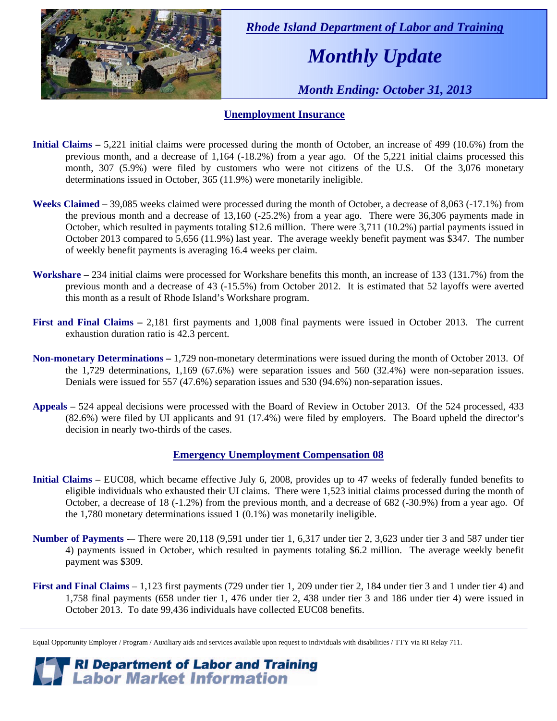

 *Rhode Island Department of Labor and Training* 

# *Monthly Update*

 *Month Ending: October 31, 2013* 

#### **Unemployment Insurance**

- **Initial Claims** 5,221 initial claims were processed during the month of October, an increase of 499 (10.6%) from the previous month, and a decrease of 1,164 (-18.2%) from a year ago. Of the 5,221 initial claims processed this month, 307 (5.9%) were filed by customers who were not citizens of the U.S. Of the 3,076 monetary determinations issued in October, 365 (11.9%) were monetarily ineligible.
- **Weeks Claimed** 39,085 weeks claimed were processed during the month of October, a decrease of 8,063 (-17.1%) from the previous month and a decrease of 13,160 (-25.2%) from a year ago. There were 36,306 payments made in October, which resulted in payments totaling \$12.6 million. There were 3,711 (10.2%) partial payments issued in October 2013 compared to 5,656 (11.9%) last year. The average weekly benefit payment was \$347. The number of weekly benefit payments is averaging 16.4 weeks per claim.
- **Workshare –** 234 initial claims were processed for Workshare benefits this month, an increase of 133 (131.7%) from the previous month and a decrease of 43 (-15.5%) from October 2012. It is estimated that 52 layoffs were averted this month as a result of Rhode Island's Workshare program.
- **First and Final Claims –** 2,181 first payments and 1,008 final payments were issued in October 2013. The current exhaustion duration ratio is 42.3 percent.
- **Non-monetary Determinations –** 1,729 non-monetary determinations were issued during the month of October 2013. Of the 1,729 determinations, 1,169 (67.6%) were separation issues and 560 (32.4%) were non-separation issues. Denials were issued for 557 (47.6%) separation issues and 530 (94.6%) non-separation issues.
- **Appeals** 524 appeal decisions were processed with the Board of Review in October 2013. Of the 524 processed, 433 (82.6%) were filed by UI applicants and 91 (17.4%) were filed by employers. The Board upheld the director's decision in nearly two-thirds of the cases.

#### **Emergency Unemployment Compensation 08**

- **Initial Claims**  EUC08, which became effective July 6, 2008, provides up to 47 weeks of federally funded benefits to eligible individuals who exhausted their UI claims. There were 1,523 initial claims processed during the month of October, a decrease of 18 (-1.2%) from the previous month, and a decrease of 682 (-30.9%) from a year ago. Of the 1,780 monetary determinations issued 1 (0.1%) was monetarily ineligible.
- **Number of Payments** -– There were 20,118 (9,591 under tier 1, 6,317 under tier 2, 3,623 under tier 3 and 587 under tier 4) payments issued in October, which resulted in payments totaling \$6.2 million. The average weekly benefit payment was \$309.
- **First and Final Claims**  1,123 first payments (729 under tier 1, 209 under tier 2, 184 under tier 3 and 1 under tier 4) and 1,758 final payments (658 under tier 1, 476 under tier 2, 438 under tier 3 and 186 under tier 4) were issued in October 2013. To date 99,436 individuals have collected EUC08 benefits.

*RI Department of Labor and Training*<br>*P Labor Market Information* 

Equal Opportunity Employer / Program / Auxiliary aids and services available upon request to individuals with disabilities / TTY via RI Relay 711.